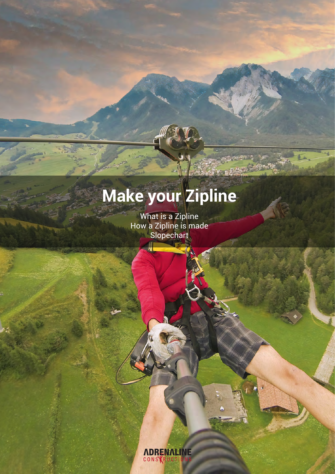# **Make your Zipline**

What is a Zipline How a Zipline is made Slopechart

> *ADRENALINE* CONSTRUCTI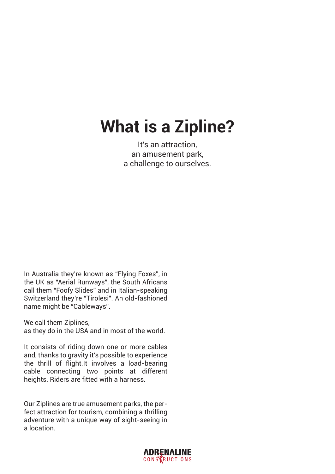## **What is a Zipline?**

It's an attraction, an amusement park, a challenge to ourselves.

In Australia they're known as "Flying Foxes", in the UK as "Aerial Runways", the South Africans call them "Foofy Slides" and in Italian-speaking Switzerland they're "Tirolesi". An old-fashioned name might be "Cableways".

We call them Ziplines,

as they do in the USA and in most of the world.

It consists of riding down one or more cables and, thanks to gravity it's possible to experience the thrill of flight.It involves a load-bearing cable connecting two points at different heights. Riders are fitted with a harness.

Our Ziplines are true amusement parks, the perfect attraction for tourism, combining a thrilling adventure with a unique way of sight-seeing in a location.

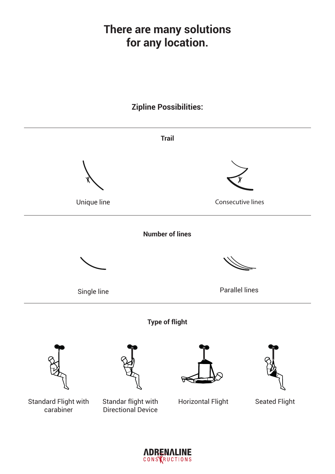### **There are many solutions for any location.**



*ADRENALINE* CONSTRUCTIONS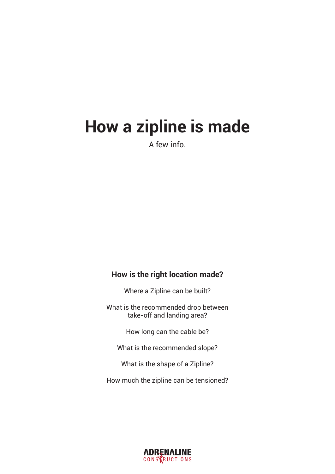### **How a zipline is made**

A few info.

### **How is the right location made?**

Where a Zipline can be built?

What is the recommended drop between take-off and landing area?

How long can the cable be?

What is the recommended slope?

What is the shape of a Zipline?

How much the zipline can be tensioned?

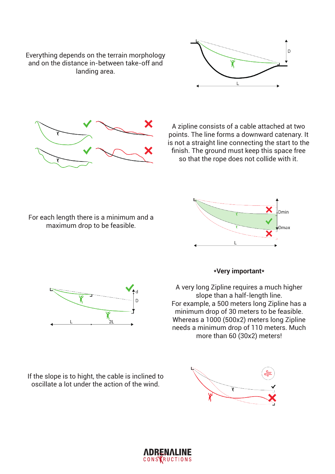Everything depends on the terrain morphology and on the distance in-between take-off and landing area.





A zipline consists of a cable attached at two points. The line forms a downward catenary. It is not a straight line connecting the start to the finish. The ground must keep this space free so that the rope does not collide with it.

For each length there is a minimum and a maximum drop to be feasible.





If the slope is to hight, the cable is inclined to oscillate a lot under the action of the wind.



### **\*Very important\***

A very long Zipline requires a much higher slope than a half-length line. For example, a 500 meters long Zipline has a minimum drop of 30 meters to be feasible. Whereas a 1000 (500x2) meters long Zipline needs a minimum drop of 110 meters. Much more than 60 (30x2) meters!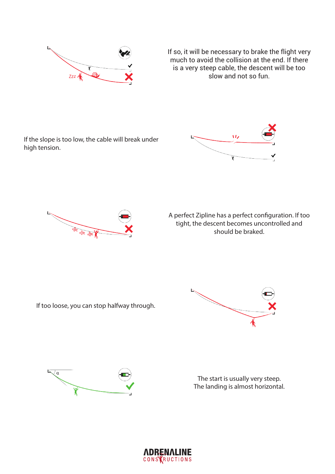

If so, it will be necessary to brake the flight very much to avoid the collision at the end. If there is a very steep cable, the descent will be too slow and not so fun.

If the slope is too low, the cable will break under high tension.





A perfect Zipline has a perfect configuration. If too tight, the descent becomes uncontrolled and should be braked.

If too loose, you can stop halfway through.





The start is usually very steep. The landing is almost horizontal.

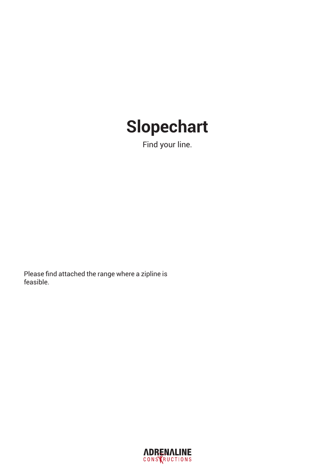## **Slopechart**

Find your line.

Please find attached the range where a zipline is feasible.